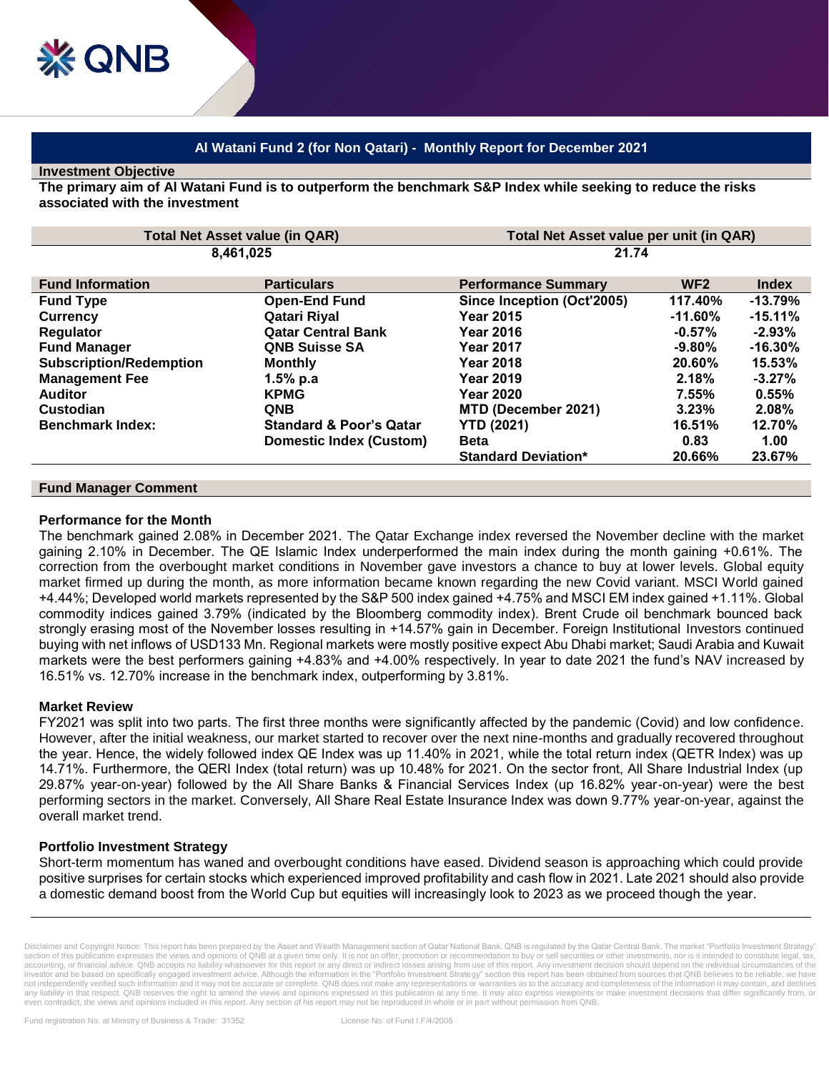# **Al Watani Fund 2 (for Non Qatari) - Monthly Report for December 2021**

### **Investment Objective**

**The primary aim of Al Watani Fund is to outperform the benchmark S&P Index while seeking to reduce the risks associated with the investment**

| <b>Total Net Asset value (in QAR)</b> |                                    | Total Net Asset value per unit (in QAR) |                 |              |
|---------------------------------------|------------------------------------|-----------------------------------------|-----------------|--------------|
| 8,461,025                             |                                    | 21.74                                   |                 |              |
|                                       |                                    |                                         | WF <sub>2</sub> |              |
| <b>Fund Information</b>               | <b>Particulars</b>                 | <b>Performance Summary</b>              |                 | <b>Index</b> |
| <b>Fund Type</b>                      | <b>Open-End Fund</b>               | Since Inception (Oct'2005)              | 117.40%         | $-13.79%$    |
| <b>Currency</b>                       | Qatari Riyal                       | <b>Year 2015</b>                        | -11.60%         | $-15.11%$    |
| Regulator                             | <b>Qatar Central Bank</b>          | <b>Year 2016</b>                        | $-0.57%$        | $-2.93\%$    |
| <b>Fund Manager</b>                   | <b>QNB Suisse SA</b>               | <b>Year 2017</b>                        | $-9.80%$        | $-16.30%$    |
| <b>Subscription/Redemption</b>        | <b>Monthly</b>                     | <b>Year 2018</b>                        | 20.60%          | 15.53%       |
| <b>Management Fee</b>                 | 1.5% p.a                           | <b>Year 2019</b>                        | 2.18%           | $-3.27\%$    |
| <b>Auditor</b>                        | <b>KPMG</b>                        | <b>Year 2020</b>                        | 7.55%           | 0.55%        |
| Custodian                             | <b>QNB</b>                         | MTD (December 2021)                     | 3.23%           | $2.08\%$     |
| <b>Benchmark Index:</b>               | <b>Standard &amp; Poor's Qatar</b> | <b>YTD (2021)</b>                       | 16.51%          | 12.70%       |
|                                       | <b>Domestic Index (Custom)</b>     | <b>Beta</b>                             | 0.83            | 1.00         |
|                                       |                                    | <b>Standard Deviation*</b>              | 20.66%          | 23.67%       |

#### **Fund Manager Comment**

#### **Performance for the Month**

The benchmark gained 2.08% in December 2021. The Qatar Exchange index reversed the November decline with the market gaining 2.10% in December. The QE Islamic Index underperformed the main index during the month gaining +0.61%. The correction from the overbought market conditions in November gave investors a chance to buy at lower levels. Global equity market firmed up during the month, as more information became known regarding the new Covid variant. MSCI World gained +4.44%; Developed world markets represented by the S&P 500 index gained +4.75% and MSCI EM index gained +1.11%. Global commodity indices gained 3.79% (indicated by the Bloomberg commodity index). Brent Crude oil benchmark bounced back strongly erasing most of the November losses resulting in +14.57% gain in December. Foreign Institutional Investors continued buying with net inflows of USD133 Mn. Regional markets were mostly positive expect Abu Dhabi market; Saudi Arabia and Kuwait markets were the best performers gaining +4.83% and +4.00% respectively. In year to date 2021 the fund's NAV increased by 16.51% vs. 12.70% increase in the benchmark index, outperforming by 3.81%.

#### **Market Review**

FY2021 was split into two parts. The first three months were significantly affected by the pandemic (Covid) and low confidence. However, after the initial weakness, our market started to recover over the next nine-months and gradually recovered throughout the year. Hence, the widely followed index QE Index was up 11.40% in 2021, while the total return index (QETR Index) was up 14.71%. Furthermore, the QERI Index (total return) was up 10.48% for 2021. On the sector front, All Share Industrial Index (up 29.87% year-on-year) followed by the All Share Banks & Financial Services Index (up 16.82% year-on-year) were the best performing sectors in the market. Conversely, All Share Real Estate Insurance Index was down 9.77% year-on-year, against the overall market trend.

## **Portfolio Investment Strategy**

Short-term momentum has waned and overbought conditions have eased. Dividend season is approaching which could provide positive surprises for certain stocks which experienced improved profitability and cash flow in 2021. Late 2021 should also provide a domestic demand boost from the World Cup but equities will increasingly look to 2023 as we proceed though the year.

Disclaimer and Copyright Notice: This report has been prepared by the Asset and Wealth Management section of Qatar National Bank. QNB is regulated by the Qatar Central Bank. The market "Portfolio Investment Strategy section of this publication expresses the views and opinions of QNB at a given time only. It is not an offer, promotion or recommendation to buy or sell securities or other investments, nor is it intended to constitute leg accounting, or financial advice. QNB accepts no liability whatsoever for this report or any direct or indirect losses arising from use of this report. Any investment decision should depend on the individual circumstances o investor and be based on specifically engaged investment advice. Although the information in the "Portfolio Investment Strategy" section this report has been obtained from sources that QNB believes to be reliable, we have not independently verified such information and it may not be accurate or complete. QNB does not make any representations or warranties as to the accuracy and completeness of the information it may contain, and declines<br>an even contradict, the views and opinions included in this report. Any section of his report may not be reproduced in whole or in part without permission from QNB.